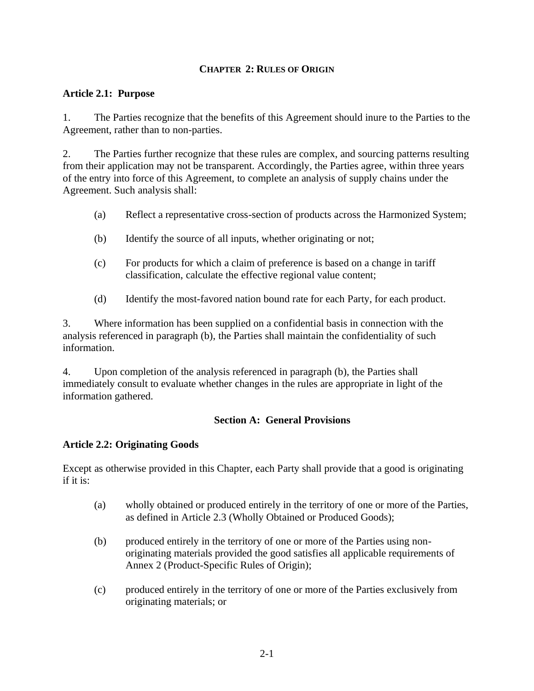### **CHAPTER 2: RULES OF ORIGIN**

### **Article 2.1: Purpose**

1. The Parties recognize that the benefits of this Agreement should inure to the Parties to the Agreement, rather than to non-parties.

2. The Parties further recognize that these rules are complex, and sourcing patterns resulting from their application may not be transparent. Accordingly, the Parties agree, within three years of the entry into force of this Agreement, to complete an analysis of supply chains under the Agreement. Such analysis shall:

- (a) Reflect a representative cross-section of products across the Harmonized System;
- (b) Identify the source of all inputs, whether originating or not;
- (c) For products for which a claim of preference is based on a change in tariff classification, calculate the effective regional value content;
- (d) Identify the most-favored nation bound rate for each Party, for each product.

3. Where information has been supplied on a confidential basis in connection with the analysis referenced in paragraph (b), the Parties shall maintain the confidentiality of such information.

4. Upon completion of the analysis referenced in paragraph (b), the Parties shall immediately consult to evaluate whether changes in the rules are appropriate in light of the information gathered.

#### **Section A: General Provisions**

## **Article 2.2: Originating Goods**

Except as otherwise provided in this Chapter, each Party shall provide that a good is originating if it is:

- (a) wholly obtained or produced entirely in the territory of one or more of the Parties, as defined in Article 2.3 (Wholly Obtained or Produced Goods);
- (b) produced entirely in the territory of one or more of the Parties using nonoriginating materials provided the good satisfies all applicable requirements of Annex 2 (Product-Specific Rules of Origin);
- (c) produced entirely in the territory of one or more of the Parties exclusively from originating materials; or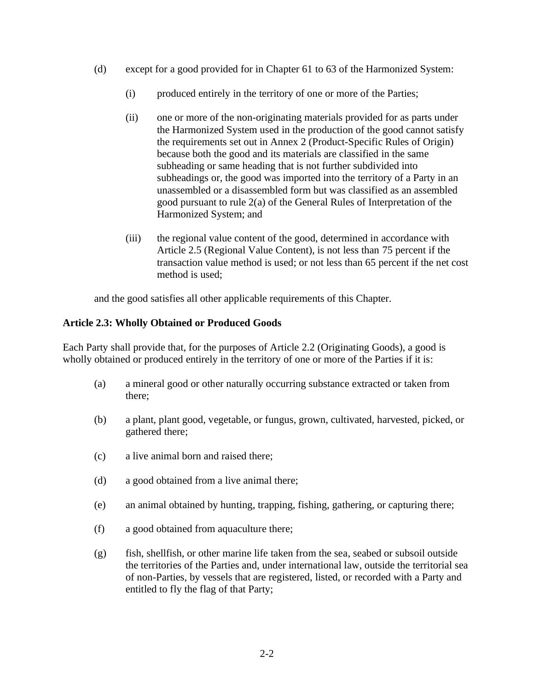- (d) except for a good provided for in Chapter 61 to 63 of the Harmonized System:
	- (i) produced entirely in the territory of one or more of the Parties;
	- (ii) one or more of the non-originating materials provided for as parts under the Harmonized System used in the production of the good cannot satisfy the requirements set out in Annex 2 (Product-Specific Rules of Origin) because both the good and its materials are classified in the same subheading or same heading that is not further subdivided into subheadings or, the good was imported into the territory of a Party in an unassembled or a disassembled form but was classified as an assembled good pursuant to rule 2(a) of the General Rules of Interpretation of the Harmonized System; and
	- (iii) the regional value content of the good, determined in accordance with Article 2.5 (Regional Value Content), is not less than 75 percent if the transaction value method is used; or not less than 65 percent if the net cost method is used;

and the good satisfies all other applicable requirements of this Chapter.

#### **Article 2.3: Wholly Obtained or Produced Goods**

Each Party shall provide that, for the purposes of Article 2.2 (Originating Goods), a good is wholly obtained or produced entirely in the territory of one or more of the Parties if it is:

- (a) a mineral good or other naturally occurring substance extracted or taken from there;
- (b) a plant, plant good, vegetable, or fungus, grown, cultivated, harvested, picked, or gathered there;
- (c) a live animal born and raised there;
- (d) a good obtained from a live animal there;
- (e) an animal obtained by hunting, trapping, fishing, gathering, or capturing there;
- (f) a good obtained from aquaculture there;
- (g) fish, shellfish, or other marine life taken from the sea, seabed or subsoil outside the territories of the Parties and, under international law, outside the territorial sea of non-Parties, by vessels that are registered, listed, or recorded with a Party and entitled to fly the flag of that Party;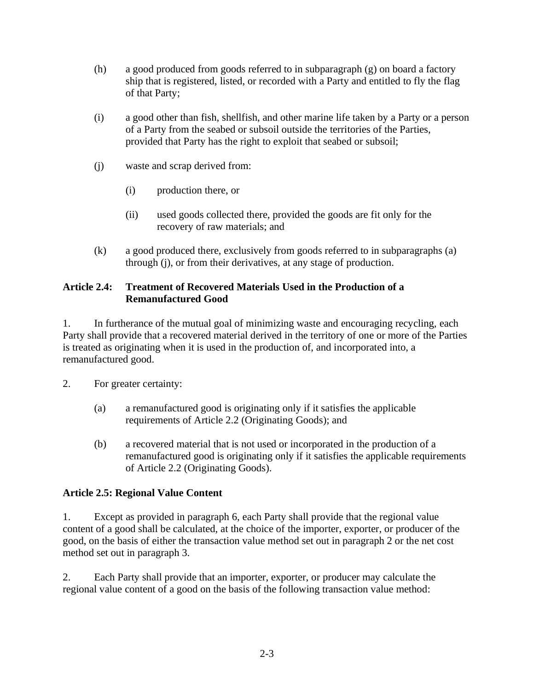- (h) a good produced from goods referred to in subparagraph (g) on board a factory ship that is registered, listed, or recorded with a Party and entitled to fly the flag of that Party;
- (i) a good other than fish, shellfish, and other marine life taken by a Party or a person of a Party from the seabed or subsoil outside the territories of the Parties, provided that Party has the right to exploit that seabed or subsoil;
- (j) waste and scrap derived from:
	- (i) production there, or
	- (ii) used goods collected there, provided the goods are fit only for the recovery of raw materials; and
- (k) a good produced there, exclusively from goods referred to in subparagraphs (a) through (j), or from their derivatives, at any stage of production.

### **Article 2.4: Treatment of Recovered Materials Used in the Production of a Remanufactured Good**

1. In furtherance of the mutual goal of minimizing waste and encouraging recycling, each Party shall provide that a recovered material derived in the territory of one or more of the Parties is treated as originating when it is used in the production of, and incorporated into, a remanufactured good.

- 2. For greater certainty:
	- (a) a remanufactured good is originating only if it satisfies the applicable requirements of Article 2.2 (Originating Goods); and
	- (b) a recovered material that is not used or incorporated in the production of a remanufactured good is originating only if it satisfies the applicable requirements of Article 2.2 (Originating Goods).

## **Article 2.5: Regional Value Content**

1. Except as provided in paragraph 6, each Party shall provide that the regional value content of a good shall be calculated, at the choice of the importer, exporter, or producer of the good, on the basis of either the transaction value method set out in paragraph 2 or the net cost method set out in paragraph 3.

2. Each Party shall provide that an importer, exporter, or producer may calculate the regional value content of a good on the basis of the following transaction value method: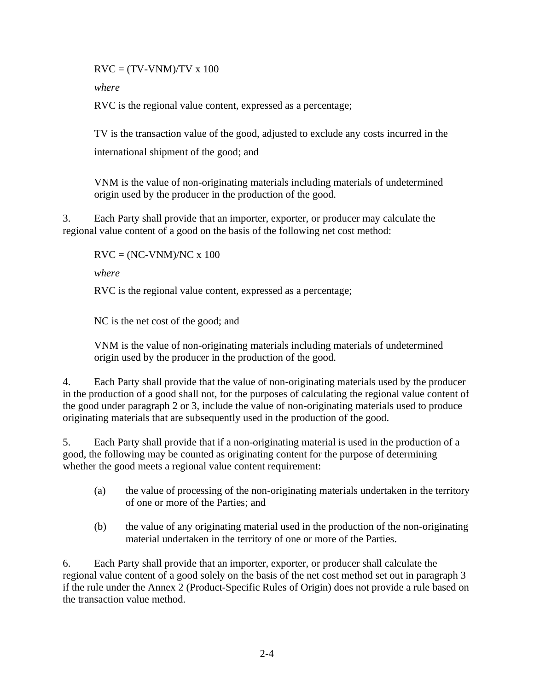$RVC = (TV-VNM)/TV \times 100$ 

*where*

RVC is the regional value content, expressed as a percentage;

TV is the transaction value of the good, adjusted to exclude any costs incurred in the international shipment of the good; and

VNM is the value of non-originating materials including materials of undetermined origin used by the producer in the production of the good.

3. Each Party shall provide that an importer, exporter, or producer may calculate the regional value content of a good on the basis of the following net cost method:

 $RVC = (NC-VNM)/NC \times 100$ 

*where*

RVC is the regional value content, expressed as a percentage;

NC is the net cost of the good; and

VNM is the value of non-originating materials including materials of undetermined origin used by the producer in the production of the good.

4. Each Party shall provide that the value of non-originating materials used by the producer in the production of a good shall not, for the purposes of calculating the regional value content of the good under paragraph 2 or 3, include the value of non-originating materials used to produce originating materials that are subsequently used in the production of the good.

5. Each Party shall provide that if a non-originating material is used in the production of a good, the following may be counted as originating content for the purpose of determining whether the good meets a regional value content requirement:

- (a) the value of processing of the non-originating materials undertaken in the territory of one or more of the Parties; and
- (b) the value of any originating material used in the production of the non-originating material undertaken in the territory of one or more of the Parties.

6. Each Party shall provide that an importer, exporter, or producer shall calculate the regional value content of a good solely on the basis of the net cost method set out in paragraph 3 if the rule under the Annex 2 (Product-Specific Rules of Origin) does not provide a rule based on the transaction value method.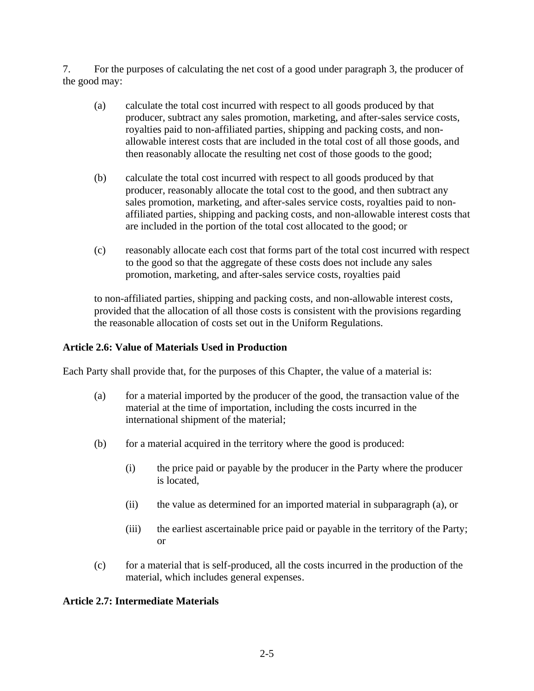7. For the purposes of calculating the net cost of a good under paragraph 3, the producer of the good may:

- (a) calculate the total cost incurred with respect to all goods produced by that producer, subtract any sales promotion, marketing, and after-sales service costs, royalties paid to non-affiliated parties, shipping and packing costs, and nonallowable interest costs that are included in the total cost of all those goods, and then reasonably allocate the resulting net cost of those goods to the good;
- (b) calculate the total cost incurred with respect to all goods produced by that producer, reasonably allocate the total cost to the good, and then subtract any sales promotion, marketing, and after-sales service costs, royalties paid to nonaffiliated parties, shipping and packing costs, and non-allowable interest costs that are included in the portion of the total cost allocated to the good; or
- (c) reasonably allocate each cost that forms part of the total cost incurred with respect to the good so that the aggregate of these costs does not include any sales promotion, marketing, and after-sales service costs, royalties paid

to non-affiliated parties, shipping and packing costs, and non-allowable interest costs, provided that the allocation of all those costs is consistent with the provisions regarding the reasonable allocation of costs set out in the Uniform Regulations.

### **Article 2.6: Value of Materials Used in Production**

Each Party shall provide that, for the purposes of this Chapter, the value of a material is:

- (a) for a material imported by the producer of the good, the transaction value of the material at the time of importation, including the costs incurred in the international shipment of the material;
- (b) for a material acquired in the territory where the good is produced:
	- (i) the price paid or payable by the producer in the Party where the producer is located,
	- (ii) the value as determined for an imported material in subparagraph (a), or
	- (iii) the earliest ascertainable price paid or payable in the territory of the Party; or
- (c) for a material that is self-produced, all the costs incurred in the production of the material, which includes general expenses.

#### **Article 2.7: Intermediate Materials**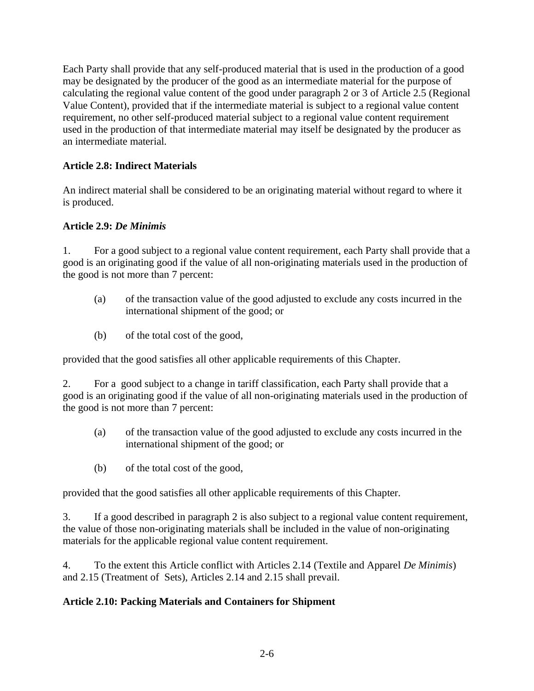Each Party shall provide that any self-produced material that is used in the production of a good may be designated by the producer of the good as an intermediate material for the purpose of calculating the regional value content of the good under paragraph 2 or 3 of Article 2.5 (Regional Value Content), provided that if the intermediate material is subject to a regional value content requirement, no other self-produced material subject to a regional value content requirement used in the production of that intermediate material may itself be designated by the producer as an intermediate material.

# **Article 2.8: Indirect Materials**

An indirect material shall be considered to be an originating material without regard to where it is produced.

# **Article 2.9:** *De Minimis*

1. For a good subject to a regional value content requirement, each Party shall provide that a good is an originating good if the value of all non-originating materials used in the production of the good is not more than 7 percent:

- (a) of the transaction value of the good adjusted to exclude any costs incurred in the international shipment of the good; or
- (b) of the total cost of the good,

provided that the good satisfies all other applicable requirements of this Chapter.

2. For a good subject to a change in tariff classification, each Party shall provide that a good is an originating good if the value of all non-originating materials used in the production of the good is not more than 7 percent:

- (a) of the transaction value of the good adjusted to exclude any costs incurred in the international shipment of the good; or
- (b) of the total cost of the good,

provided that the good satisfies all other applicable requirements of this Chapter.

3. If a good described in paragraph 2 is also subject to a regional value content requirement, the value of those non-originating materials shall be included in the value of non-originating materials for the applicable regional value content requirement.

4. To the extent this Article conflict with Articles 2.14 (Textile and Apparel *De Minimis*) and 2.15 (Treatment of Sets), Articles 2.14 and 2.15 shall prevail.

# **Article 2.10: Packing Materials and Containers for Shipment**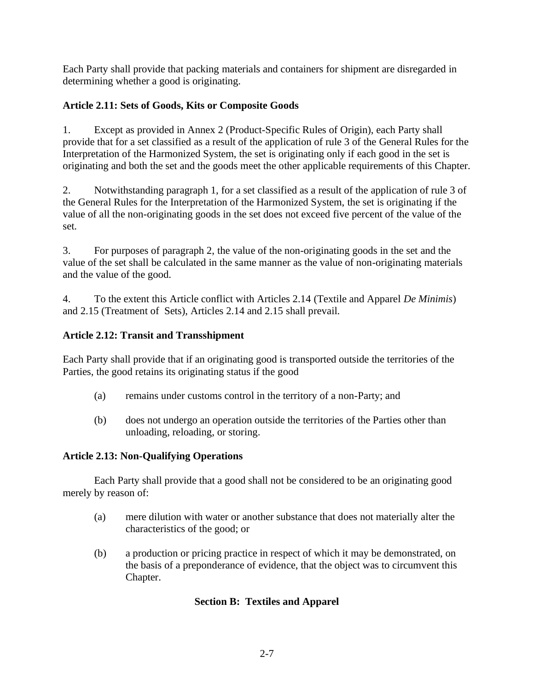Each Party shall provide that packing materials and containers for shipment are disregarded in determining whether a good is originating.

# **Article 2.11: Sets of Goods, Kits or Composite Goods**

1. Except as provided in Annex 2 (Product-Specific Rules of Origin), each Party shall provide that for a set classified as a result of the application of rule 3 of the General Rules for the Interpretation of the Harmonized System, the set is originating only if each good in the set is originating and both the set and the goods meet the other applicable requirements of this Chapter.

2. Notwithstanding paragraph 1, for a set classified as a result of the application of rule 3 of the General Rules for the Interpretation of the Harmonized System, the set is originating if the value of all the non-originating goods in the set does not exceed five percent of the value of the set.

3. For purposes of paragraph 2, the value of the non-originating goods in the set and the value of the set shall be calculated in the same manner as the value of non-originating materials and the value of the good.

4. To the extent this Article conflict with Articles 2.14 (Textile and Apparel *De Minimis*) and 2.15 (Treatment of Sets), Articles 2.14 and 2.15 shall prevail.

# **Article 2.12: Transit and Transshipment**

Each Party shall provide that if an originating good is transported outside the territories of the Parties, the good retains its originating status if the good

- (a) remains under customs control in the territory of a non-Party; and
- (b) does not undergo an operation outside the territories of the Parties other than unloading, reloading, or storing.

## **Article 2.13: Non-Qualifying Operations**

Each Party shall provide that a good shall not be considered to be an originating good merely by reason of:

- (a) mere dilution with water or another substance that does not materially alter the characteristics of the good; or
- (b) a production or pricing practice in respect of which it may be demonstrated, on the basis of a preponderance of evidence, that the object was to circumvent this Chapter.

# **Section B: Textiles and Apparel**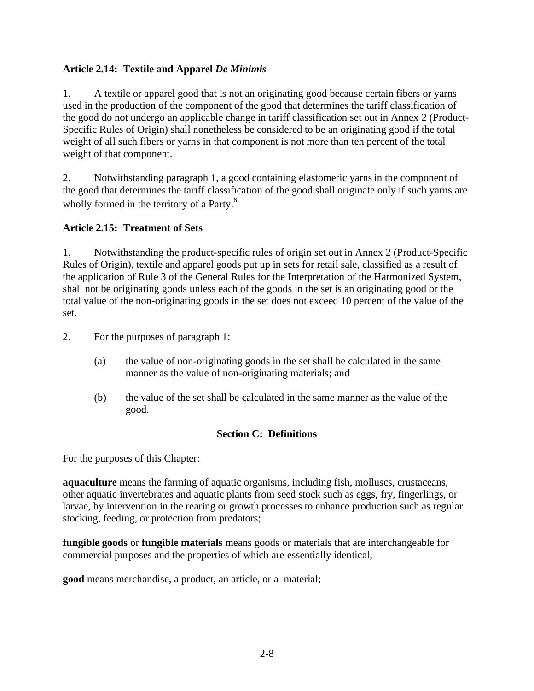# **Article 2.14: Textile and Apparel** *De Minimis*

1. A textile or apparel good that is not an originating good because certain fibers or yarns used in the production of the component of the good that determines the tariff classification of the good do not undergo an applicable change in tariff classification set out in Annex 2 (Product-Specific Rules of Origin) shall nonetheless be considered to be an originating good if the total weight of all such fibers or yarns in that component is not more than ten percent of the total weight of that component.

2. Notwithstanding paragraph 1, a good containing elastomeric yarnsin the component of the good that determines the tariff classification of the good shall originate only if such yarns are wholly formed in the territory of a Party.<sup>6</sup>

# **Article 2.15: Treatment of Sets**

1. Notwithstanding the product-specific rules of origin set out in Annex 2 (Product-Specific Rules of Origin), textile and apparel goods put up in sets for retail sale, classified as a result of the application of Rule 3 of the General Rules for the Interpretation of the Harmonized System, shall not be originating goods unless each of the goods in the set is an originating good or the total value of the non-originating goods in the set does not exceed 10 percent of the value of the set.

2. For the purposes of paragraph 1:

- (a) the value of non-originating goods in the set shall be calculated in the same manner as the value of non-originating materials; and
- (b) the value of the set shall be calculated in the same manner as the value of the good.

## **Section C: Definitions**

For the purposes of this Chapter:

**aquaculture** means the farming of aquatic organisms, including fish, molluscs, crustaceans, other aquatic invertebrates and aquatic plants from seed stock such as eggs, fry, fingerlings, or larvae, by intervention in the rearing or growth processes to enhance production such as regular stocking, feeding, or protection from predators;

**fungible goods** or **fungible materials** means goods or materials that are interchangeable for commercial purposes and the properties of which are essentially identical;

**good** means merchandise, a product, an article, or a material;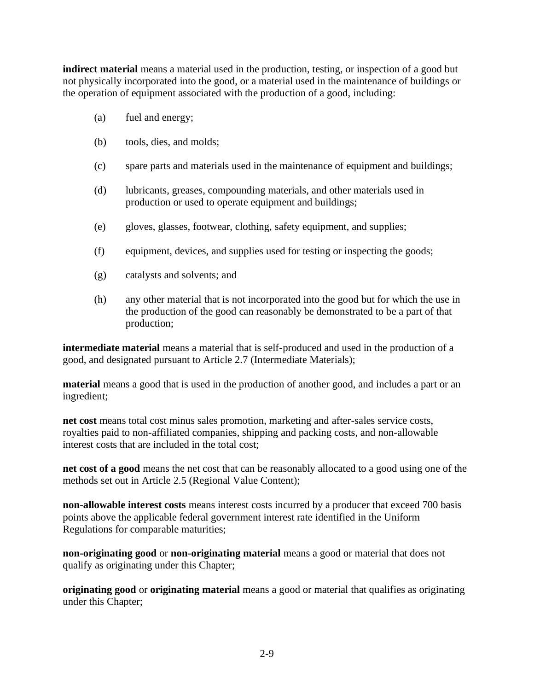**indirect material** means a material used in the production, testing, or inspection of a good but not physically incorporated into the good, or a material used in the maintenance of buildings or the operation of equipment associated with the production of a good, including:

- (a) fuel and energy;
- (b) tools, dies, and molds;
- (c) spare parts and materials used in the maintenance of equipment and buildings;
- (d) lubricants, greases, compounding materials, and other materials used in production or used to operate equipment and buildings;
- (e) gloves, glasses, footwear, clothing, safety equipment, and supplies;
- (f) equipment, devices, and supplies used for testing or inspecting the goods;
- (g) catalysts and solvents; and
- (h) any other material that is not incorporated into the good but for which the use in the production of the good can reasonably be demonstrated to be a part of that production;

**intermediate material** means a material that is self-produced and used in the production of a good, and designated pursuant to Article 2.7 (Intermediate Materials);

**material** means a good that is used in the production of another good, and includes a part or an ingredient;

**net cost** means total cost minus sales promotion, marketing and after-sales service costs, royalties paid to non-affiliated companies, shipping and packing costs, and non-allowable interest costs that are included in the total cost;

**net cost of a good** means the net cost that can be reasonably allocated to a good using one of the methods set out in Article 2.5 (Regional Value Content);

**non-allowable interest costs** means interest costs incurred by a producer that exceed 700 basis points above the applicable federal government interest rate identified in the Uniform Regulations for comparable maturities;

**non-originating good** or **non-originating material** means a good or material that does not qualify as originating under this Chapter;

**originating good** or **originating material** means a good or material that qualifies as originating under this Chapter;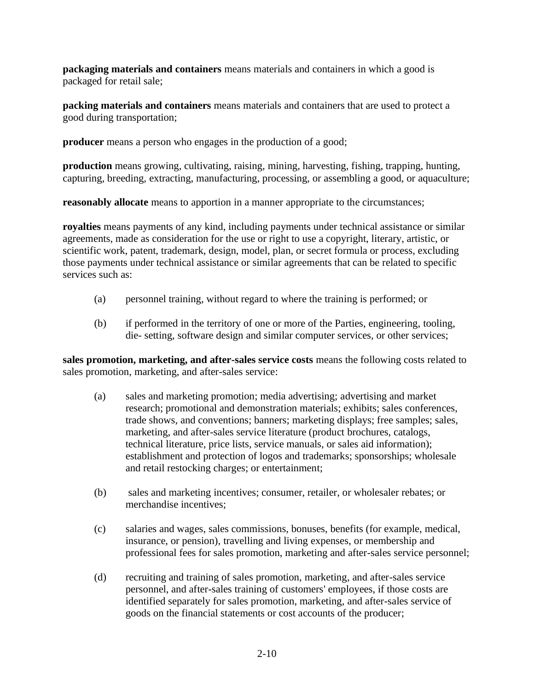**packaging materials and containers** means materials and containers in which a good is packaged for retail sale;

**packing materials and containers** means materials and containers that are used to protect a good during transportation;

**producer** means a person who engages in the production of a good;

**production** means growing, cultivating, raising, mining, harvesting, fishing, trapping, hunting, capturing, breeding, extracting, manufacturing, processing, or assembling a good, or aquaculture;

**reasonably allocate** means to apportion in a manner appropriate to the circumstances;

**royalties** means payments of any kind, including payments under technical assistance or similar agreements, made as consideration for the use or right to use a copyright, literary, artistic, or scientific work, patent, trademark, design, model, plan, or secret formula or process, excluding those payments under technical assistance or similar agreements that can be related to specific services such as:

- (a) personnel training, without regard to where the training is performed; or
- (b) if performed in the territory of one or more of the Parties, engineering, tooling, die- setting, software design and similar computer services, or other services;

sales promotion, marketing, and after-sales service costs means the following costs related to sales promotion, marketing, and after-sales service:

- (a) sales and marketing promotion; media advertising; advertising and market research; promotional and demonstration materials; exhibits; sales conferences, trade shows, and conventions; banners; marketing displays; free samples; sales, marketing, and after-sales service literature (product brochures, catalogs, technical literature, price lists, service manuals, or sales aid information); establishment and protection of logos and trademarks; sponsorships; wholesale and retail restocking charges; or entertainment;
- (b) sales and marketing incentives; consumer, retailer, or wholesaler rebates; or merchandise incentives;
- (c) salaries and wages, sales commissions, bonuses, benefits (for example, medical, insurance, or pension), travelling and living expenses, or membership and professional fees for sales promotion, marketing and after-sales service personnel;
- (d) recruiting and training of sales promotion, marketing, and after-sales service personnel, and after-sales training of customers' employees, if those costs are identified separately for sales promotion, marketing, and after-sales service of goods on the financial statements or cost accounts of the producer;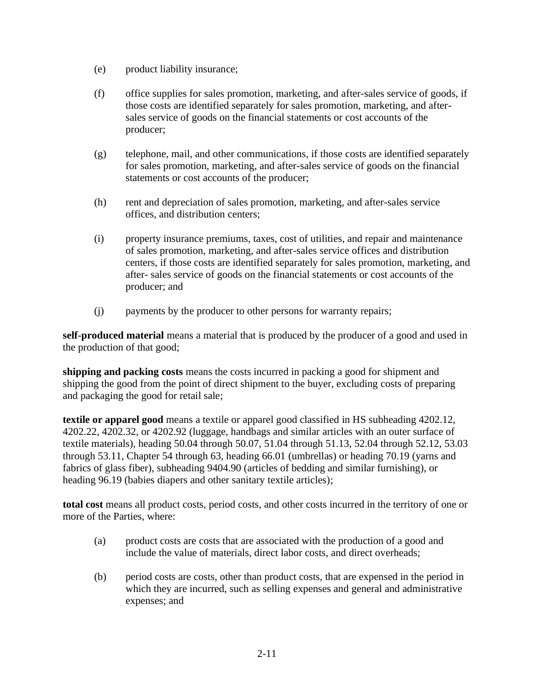- (e) product liability insurance;
- (f) office supplies for sales promotion, marketing, and after-sales service of goods, if those costs are identified separately for sales promotion, marketing, and aftersales service of goods on the financial statements or cost accounts of the producer;
- (g) telephone, mail, and other communications, if those costs are identified separately for sales promotion, marketing, and after-sales service of goods on the financial statements or cost accounts of the producer;
- (h) rent and depreciation of sales promotion, marketing, and after-sales service offices, and distribution centers;
- (i) property insurance premiums, taxes, cost of utilities, and repair and maintenance of sales promotion, marketing, and after-sales service offices and distribution centers, if those costs are identified separately for sales promotion, marketing, and after- sales service of goods on the financial statements or cost accounts of the producer; and
- (j) payments by the producer to other persons for warranty repairs;

**self-produced material** means a material that is produced by the producer of a good and used in the production of that good;

**shipping and packing costs** means the costs incurred in packing a good for shipment and shipping the good from the point of direct shipment to the buyer, excluding costs of preparing and packaging the good for retail sale;

**textile or apparel good** means a textile or apparel good classified in HS subheading 4202.12, 4202.22, 4202.32, or 4202.92 (luggage, handbags and similar articles with an outer surface of textile materials), heading 50.04 through 50.07, 51.04 through 51.13, 52.04 through 52.12, 53.03 through 53.11, Chapter 54 through 63, heading 66.01 (umbrellas) or heading 70.19 (yarns and fabrics of glass fiber), subheading 9404.90 (articles of bedding and similar furnishing), or heading 96.19 (babies diapers and other sanitary textile articles);

**total cost** means all product costs, period costs, and other costs incurred in the territory of one or more of the Parties, where:

- (a) product costs are costs that are associated with the production of a good and include the value of materials, direct labor costs, and direct overheads;
- (b) period costs are costs, other than product costs, that are expensed in the period in which they are incurred, such as selling expenses and general and administrative expenses; and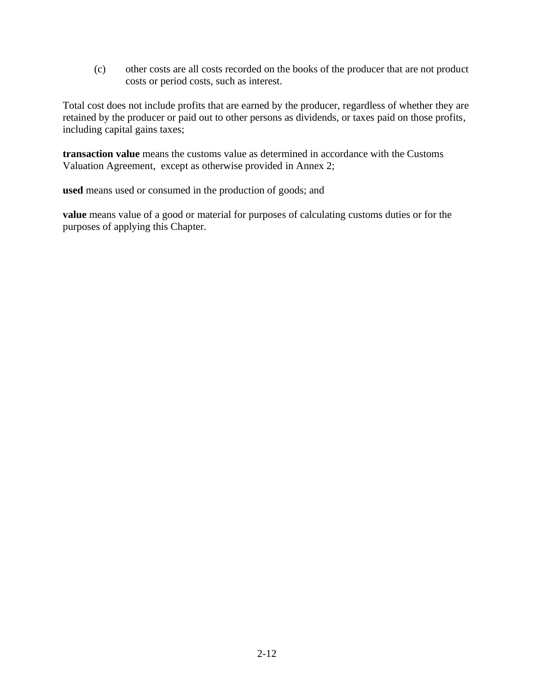(c) other costs are all costs recorded on the books of the producer that are not product costs or period costs, such as interest.

Total cost does not include profits that are earned by the producer, regardless of whether they are retained by the producer or paid out to other persons as dividends, or taxes paid on those profits, including capital gains taxes;

**transaction value** means the customs value as determined in accordance with the Customs Valuation Agreement, except as otherwise provided in Annex 2;

**used** means used or consumed in the production of goods; and

**value** means value of a good or material for purposes of calculating customs duties or for the purposes of applying this Chapter.